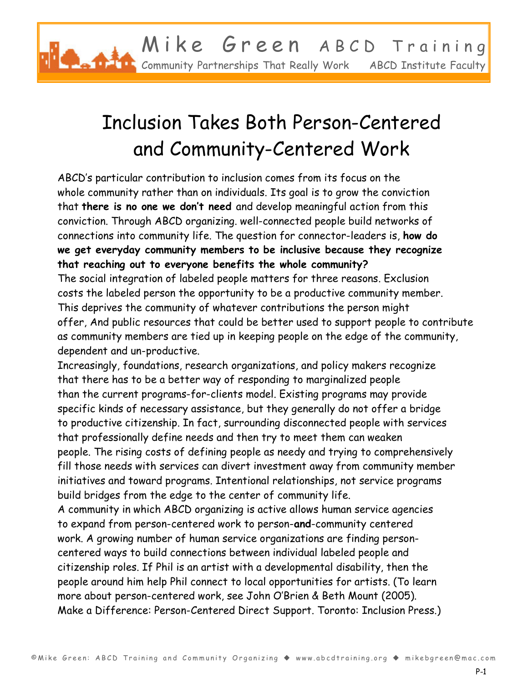

## Inclusion Takes Both Person-Centered and Community-Centered Work

ABCD's particular contribution to inclusion comes from its focus on the whole community rather than on individuals. Its goal is to grow the conviction that **there is no one we don't need** and develop meaningful action from this conviction. Through ABCD organizing. well-connected people build networks of connections into community life. The question for connector-leaders is, **how do we get everyday community members to be inclusive because they recognize that reaching out to everyone benefits the whole community?** 

The social integration of labeled people matters for three reasons. Exclusion costs the labeled person the opportunity to be a productive community member. This deprives the community of whatever contributions the person might offer, And public resources that could be better used to support people to contribute as community members are tied up in keeping people on the edge of the community, dependent and un-productive.

Increasingly, foundations, research organizations, and policy makers recognize that there has to be a better way of responding to marginalized people than the current programs-for-clients model. Existing programs may provide specific kinds of necessary assistance, but they generally do not offer a bridge to productive citizenship. In fact, surrounding disconnected people with services that professionally define needs and then try to meet them can weaken people. The rising costs of defining people as needy and trying to comprehensively fill those needs with services can divert investment away from community member initiatives and toward programs. Intentional relationships, not service programs build bridges from the edge to the center of community life.

A community in which ABCD organizing is active allows human service agencies to expand from person-centered work to person-**and**-community centered work. A growing number of human service organizations are finding personcentered ways to build connections between individual labeled people and citizenship roles. If Phil is an artist with a developmental disability, then the people around him help Phil connect to local opportunities for artists. (To learn more about person-centered work, see John O'Brien & Beth Mount (2005). Make a Difference: Person-Centered Direct Support. Toronto: Inclusion Press.)